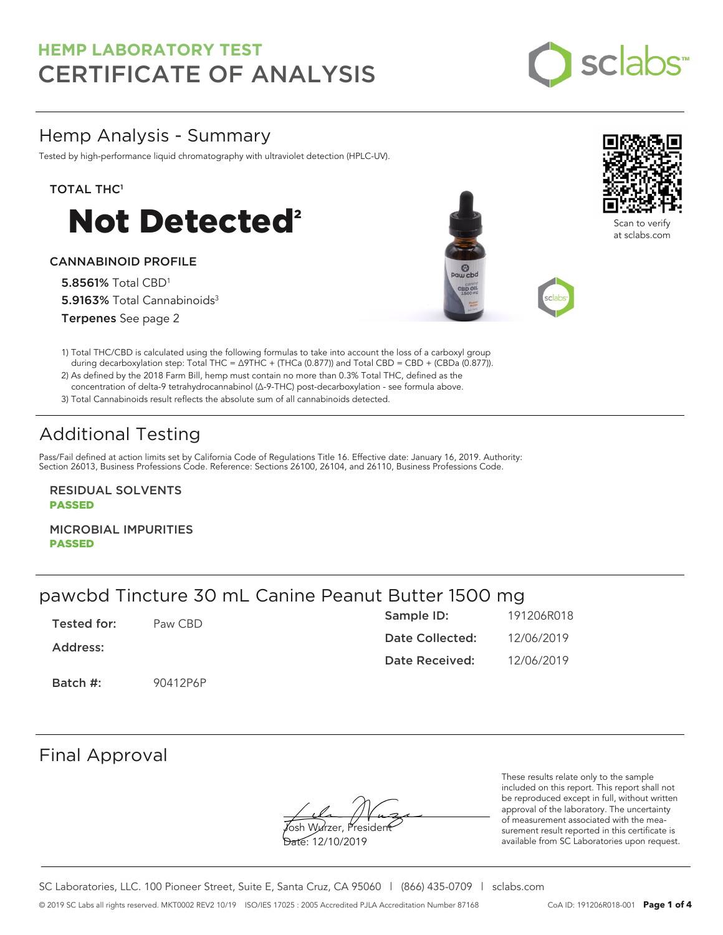

### Hemp Analysis - Summary

Tested by high-performance liquid chromatography with ultraviolet detection (HPLC-UV).

#### TOTAL THC<sup>1</sup>



#### CANNABINOID PROFILE

5.8561% Total CBD<sup>1</sup> 5.9163% Total Cannabinoids<sup>3</sup> Terpenes See page 2





Scan to verify at sclabs.com

1) Total THC/CBD is calculated using the following formulas to take into account the loss of a carboxyl group during decarboxylation step: Total THC = ∆9THC + (THCa (0.877)) and Total CBD = CBD + (CBDa (0.877)).

2) As defined by the 2018 Farm Bill, hemp must contain no more than 0.3% Total THC, defined as the concentration of delta-9 tetrahydrocannabinol (Δ-9-THC) post-decarboxylation - see formula above.

3) Total Cannabinoids result reflects the absolute sum of all cannabinoids detected.

# Additional Testing

Pass/Fail defined at action limits set by California Code of Regulations Title 16. Effective date: January 16, 2019. Authority: Section 26013, Business Professions Code. Reference: Sections 26100, 26104, and 26110, Business Professions Code.

RESIDUAL SOLVENTS PASSED

MICROBIAL IMPURITIES PASSED

## pawcbd Tincture 30 mL Canine Peanut Butter 1500 mg

| Tested for: | Paw CBD  | Sample ID:      | 191206R018 |
|-------------|----------|-----------------|------------|
| Address:    |          | Date Collected: | 12/06/2019 |
|             |          | Date Received:  | 12/06/2019 |
| Batch #:    | 90412P6P |                 |            |

### Final Approval

**J**osh Wurzer, Presiden<del>t</del> Date: 12/10/2019

These results relate only to the sample included on this report. This report shall not be reproduced except in full, without written approval of the laboratory. The uncertainty of measurement associated with the measurement result reported in this certificate is available from SC Laboratories upon request.

SC Laboratories, LLC. 100 Pioneer Street, Suite E, Santa Cruz, CA 95060 | (866) 435-0709 | sclabs.com © 2019 SC Labs all rights reserved. MKT0002 REV2 10/19 ISO/IES 17025 : 2005 Accredited PJLA Accreditation Number 87168 CoA ID: 191206R018-001 **Page 1 of 4**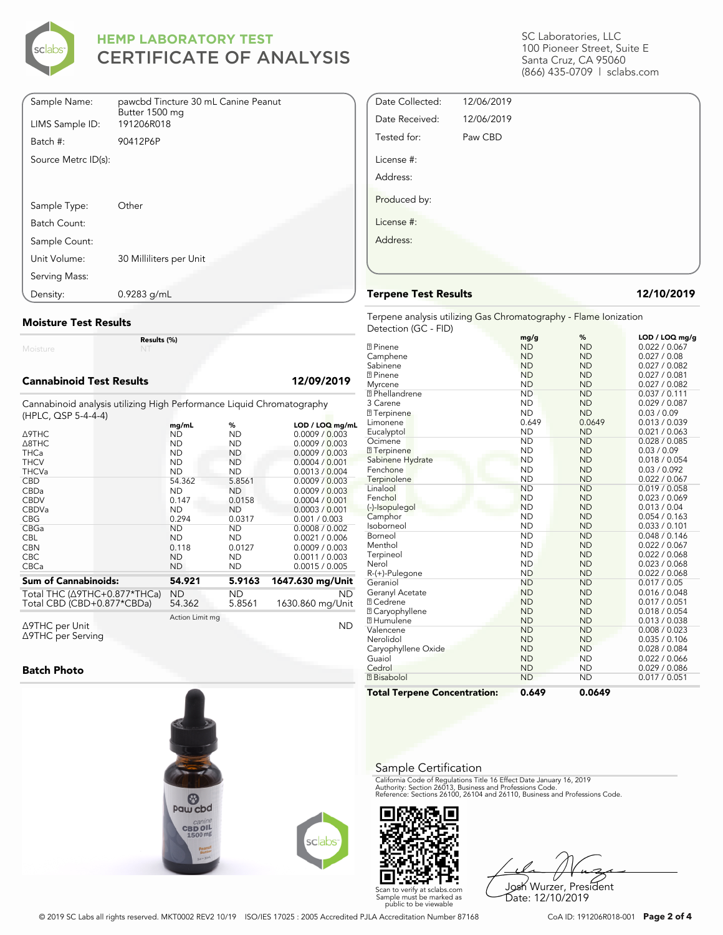

| Sample Name:        | pawcbd Tincture 30 mL Canine Peanut<br>Butter 1500 mg |
|---------------------|-------------------------------------------------------|
| LIMS Sample ID:     | 191206R018                                            |
| Batch #:            | 90412P6P                                              |
| Source Metrc ID(s): |                                                       |
|                     |                                                       |
|                     |                                                       |
| Sample Type:        | Other                                                 |
| Batch Count:        |                                                       |
| Sample Count:       |                                                       |
| Unit Volume:        | 30 Milliliters per Unit                               |
| Serving Mass:       |                                                       |
| Density:            | $0.9283$ g/mL                                         |

#### **Moisture Test Results**

Moisture

#### **Cannabinoid Test Results 12/09/2019**

Cannabinoid analysis utilizing High Performance Liquid Chromatography (HPLC, QSP 5-4-4-4)

**Results (%)**

| $(111 - 20)$ , where $-17$           | mg/mL           | %         | LOD / LOQ mg/mL  |
|--------------------------------------|-----------------|-----------|------------------|
| <b>A9THC</b>                         | ND              | ND        | 0.0009 / 0.003   |
| $\triangle$ 8THC                     | <b>ND</b>       | <b>ND</b> | 0.0009 / 0.003   |
| <b>THCa</b>                          | <b>ND</b>       | <b>ND</b> | 0.0009 / 0.003   |
| <b>THCV</b>                          | <b>ND</b>       | <b>ND</b> | 0.0004 / 0.001   |
| <b>THCVa</b>                         | <b>ND</b>       | <b>ND</b> | 0.0013 / 0.004   |
| <b>CBD</b>                           | 54.362          | 5.8561    | 0.0009 / 0.003   |
| CBDa                                 | <b>ND</b>       | <b>ND</b> | 0.0009 / 0.003   |
| <b>CBDV</b>                          | 0.147           | 0.0158    | 0.0004 / 0.001   |
| <b>CBDVa</b>                         | <b>ND</b>       | <b>ND</b> | 0.0003 / 0.001   |
| <b>CBG</b>                           | 0.294           | 0.0317    | 0.001 / 0.003    |
| CBGa                                 | <b>ND</b>       | <b>ND</b> | 0.0008 / 0.002   |
| <b>CBL</b>                           | <b>ND</b>       | <b>ND</b> | 0.0021 / 0.006   |
| <b>CBN</b>                           | 0.118           | 0.0127    | 0.0009 / 0.003   |
| <b>CBC</b>                           | <b>ND</b>       | <b>ND</b> | 0.0011 / 0.003   |
| <b>CBCa</b>                          | <b>ND</b>       | <b>ND</b> | 0.0015 / 0.005   |
| <b>Sum of Cannabinoids:</b>          | 54.921          | 5.9163    | 1647.630 mg/Unit |
| Total THC $(\Delta$ 9THC+0.877*THCa) | ND              | ND.       | <b>ND</b>        |
| Total CBD (CBD+0.877*CBDa)           | 54.362          | 5.8561    | 1630.860 mg/Unit |
| ∆9THC per Unit                       | Action Limit mg |           | <b>ND</b>        |

Δ9THC per Unit Δ9THC per Serving

#### **Batch Photo**



SC Laboratories, LLC 100 Pioneer Street, Suite E Santa Cruz, CA 95060 (866) 435-0709 | sclabs.com

| Date Collected: | 12/06/2019 |  |  |
|-----------------|------------|--|--|
| Date Received:  | 12/06/2019 |  |  |
| Tested for:     | Paw CBD    |  |  |
| License #:      |            |  |  |
| Address:        |            |  |  |
| Produced by:    |            |  |  |
| License #:      |            |  |  |
| Address:        |            |  |  |
|                 |            |  |  |
|                 |            |  |  |

#### **Terpene Test Results 12/10/2019**

Terpene analysis utilizing Gas Chromatography - Flame Ionization Detection (GC - FID)

|                                     | mg/g      | %         | LOD / LOQ mg/g |
|-------------------------------------|-----------|-----------|----------------|
| <b>2</b> Pinene                     | <b>ND</b> | <b>ND</b> | 0.022 / 0.067  |
| Camphene                            | <b>ND</b> | <b>ND</b> | 0.027 / 0.08   |
| Sabinene                            | <b>ND</b> | <b>ND</b> | 0.027 / 0.082  |
| <b>7 Pinene</b>                     | <b>ND</b> | <b>ND</b> | 0.027 / 0.081  |
| Myrcene                             | <b>ND</b> | <b>ND</b> | 0.027 / 0.082  |
| <sup>2</sup> Phellandrene           | <b>ND</b> | <b>ND</b> | 0.037 / 0.111  |
| 3 Carene                            | <b>ND</b> | <b>ND</b> | 0.029 / 0.087  |
| <b>7</b> Terpinene                  | <b>ND</b> | <b>ND</b> | 0.03 / 0.09    |
| Limonene                            | 0.649     | 0.0649    | 0.013 / 0.039  |
| Eucalyptol                          | <b>ND</b> | <b>ND</b> | 0.021 / 0.063  |
| Ocimene                             | <b>ND</b> | <b>ND</b> | 0.028 / 0.085  |
| <b>7</b> Terpinene                  | <b>ND</b> | <b>ND</b> | 0.03 / 0.09    |
| Sabinene Hydrate                    | <b>ND</b> | <b>ND</b> | 0.018 / 0.054  |
| Fenchone                            | <b>ND</b> | <b>ND</b> | 0.03 / 0.092   |
| Terpinolene                         | <b>ND</b> | <b>ND</b> | 0.022 / 0.067  |
| Linalool                            | <b>ND</b> | <b>ND</b> | 0.019 / 0.058  |
| Fenchol                             | <b>ND</b> | <b>ND</b> | 0.023 / 0.069  |
| (-)-Isopulegol                      | <b>ND</b> | <b>ND</b> | 0.013 / 0.04   |
| Camphor                             | <b>ND</b> | <b>ND</b> | 0.054 / 0.163  |
| Isoborneol                          | <b>ND</b> | <b>ND</b> | 0.033 / 0.101  |
| Borneol                             | <b>ND</b> | <b>ND</b> | 0.048 / 0.146  |
| Menthol                             | <b>ND</b> | <b>ND</b> | 0.022 / 0.067  |
| Terpineol                           | <b>ND</b> | <b>ND</b> | 0.022 / 0.068  |
| Nerol                               | <b>ND</b> | <b>ND</b> | 0.023 / 0.068  |
| R-(+)-Pulegone                      | <b>ND</b> | <b>ND</b> | 0.022 / 0.068  |
| Geraniol                            | <b>ND</b> | <b>ND</b> | 0.017 / 0.05   |
| Geranyl Acetate                     | <b>ND</b> | <b>ND</b> | 0.016 / 0.048  |
| <b>7 Cedrene</b>                    | <b>ND</b> | <b>ND</b> | 0.017 / 0.051  |
| 7 Caryophyllene                     | <b>ND</b> | <b>ND</b> | 0.018 / 0.054  |
| <b>7 Humulene</b>                   | <b>ND</b> | <b>ND</b> | 0.013 / 0.038  |
| Valencene                           | <b>ND</b> | <b>ND</b> | 0.008 / 0.023  |
| Nerolidol                           | <b>ND</b> | <b>ND</b> | 0.035 / 0.106  |
| Caryophyllene Oxide                 | <b>ND</b> | <b>ND</b> | 0.028 / 0.084  |
| Guaiol                              | <b>ND</b> | <b>ND</b> | 0.022 / 0.066  |
| Cedrol                              | <b>ND</b> | <b>ND</b> | 0.029 / 0.086  |
| <b>7</b> Bisabolol                  | <b>ND</b> | <b>ND</b> | 0.017 / 0.051  |
| <b>Total Terpene Concentration:</b> | 0.649     | 0.0649    |                |

#### Sample Certification

California Code of Regulations Title 16 Effect Date January 16, 2019<br>Authority: Section 26013, Business and Professions Code.<br>Reference: Sections 26100, 26104 and 26110, Business and Professions Code.



Josh Wurzer, President Date: 12/10/2019

© 2019 SC Labs all rights reserved. MKT0002 REV2 10/19 ISO/IES 17025 : 2005 Accredited PJLA Accreditation Number 87168 CoA ID: 191206R018-001 **Page 2 of 4**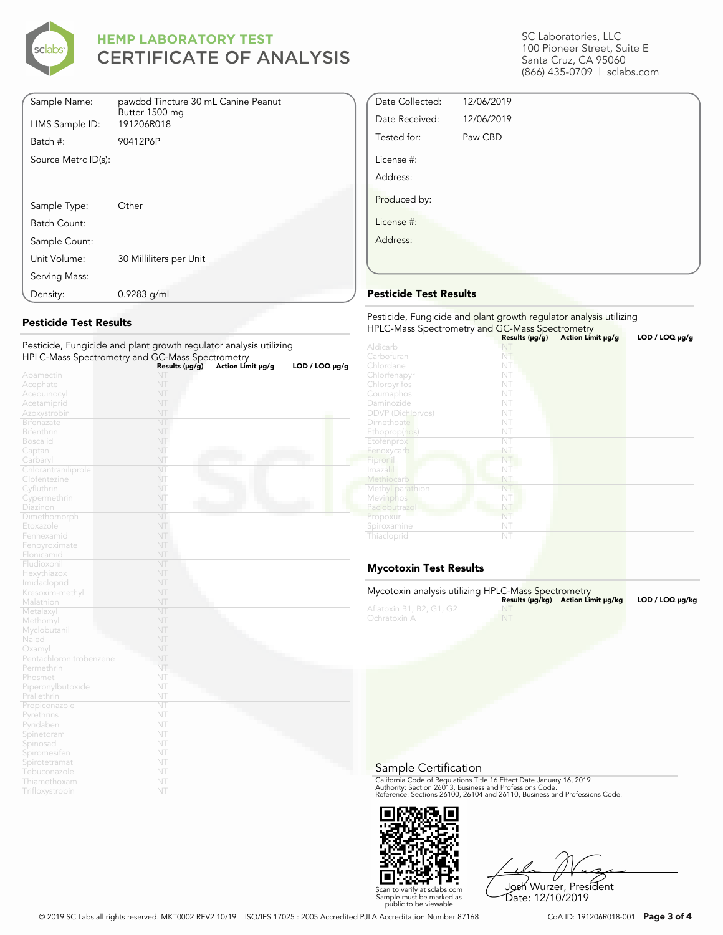

| Sample Name:        | pawcbd Tincture 30 mL Canine Peanut<br>Butter 1500 mg |
|---------------------|-------------------------------------------------------|
| LIMS Sample ID:     | 191206R018                                            |
| Batch #:            | 90412P6P                                              |
| Source Metrc ID(s): |                                                       |
|                     |                                                       |
|                     |                                                       |
| Sample Type:        | Other                                                 |
| Batch Count:        |                                                       |
| Sample Count:       |                                                       |
| Unit Volume:        | 30 Milliliters per Unit                               |
| Serving Mass:       |                                                       |
| Density:            | $0.9283$ g/mL                                         |

#### **Pesticide Test Results**

| Pesticide, Fungicide and plant growth regulator analysis utilizing |                |                   |                     |
|--------------------------------------------------------------------|----------------|-------------------|---------------------|
| HPLC-Mass Spectrometry and GC-Mass Spectrometry                    |                |                   |                     |
|                                                                    | Results (µg/g) | Action Limit µg/g | $LOD / LOQ \mu g/g$ |
| Abamectin                                                          | NT             |                   |                     |
| Acephate                                                           | NT             |                   |                     |
| Acequinocyl                                                        | NT             |                   |                     |
| Acetamiprid                                                        | NT             |                   |                     |
| Azoxystrobin                                                       | NT             |                   |                     |
| <b>Bifenazate</b>                                                  | NT             |                   |                     |
| <b>Bifenthrin</b>                                                  | NT             |                   |                     |
| <b>Boscalid</b>                                                    | NT             |                   |                     |
| Captan                                                             | NT             |                   |                     |
| Carbaryl                                                           | NT             |                   |                     |
| Chlorantraniliprole                                                | NT             |                   |                     |
| Clofentezine                                                       | NT             |                   |                     |
| Cyfluthrin                                                         | NT             |                   |                     |
| Cypermethrin                                                       | NT             |                   |                     |
| Diazinon                                                           | NT             |                   |                     |
| Dimethomorph                                                       | NT             |                   |                     |
| Etoxazole                                                          | NT             |                   |                     |
| Fenhexamid                                                         | NT             |                   |                     |
| Fenpyroximate                                                      | NT             |                   |                     |
| Flonicamid                                                         | NT             |                   |                     |
| Fludioxonil                                                        | NT             |                   |                     |
| Hexythiazox                                                        | NT             |                   |                     |
| Imidacloprid                                                       | NT             |                   |                     |
| Kresoxim-methyl                                                    | NT             |                   |                     |
| Malathion                                                          | NT             |                   |                     |
| Metalaxyl                                                          | NT             |                   |                     |
| Methomyl                                                           | NT             |                   |                     |
| Myclobutanil                                                       | NT             |                   |                     |
| Naled                                                              | NT             |                   |                     |
| Oxamyl                                                             | NT             |                   |                     |
| Pentachloronitrobenzene                                            | NT             |                   |                     |
| Permethrin                                                         | NT             |                   |                     |
| Phosmet                                                            | NT             |                   |                     |
| Piperonylbutoxide                                                  | NT             |                   |                     |
| Prallethrin                                                        | NT             |                   |                     |
| Propiconazole                                                      | NT             |                   |                     |
| Pyrethrins                                                         | NT             |                   |                     |
| Pyridaben                                                          | NT             |                   |                     |
| Spinetoram                                                         | NT             |                   |                     |
| Spinosad                                                           | NT             |                   |                     |
| Spiromesiten                                                       | NT             |                   |                     |
| Spirotetramat                                                      | NT             |                   |                     |
| Tebuconazole                                                       | NT             |                   |                     |
| Thiamethoxam                                                       | NT             |                   |                     |
| Trifloxystrobin                                                    | NT             |                   |                     |

SC Laboratories, LLC 100 Pioneer Street, Suite E Santa Cruz, CA 95060 (866) 435-0709 | sclabs.com

| Date Collected: | 12/06/2019 |  |
|-----------------|------------|--|
| Date Received:  | 12/06/2019 |  |
| Tested for:     | Paw CBD    |  |
| License #:      |            |  |
| Address:        |            |  |
| Produced by:    |            |  |
| License #:      |            |  |
| Address:        |            |  |
|                 |            |  |

#### **Pesticide Test Results**

| Pesticide, Fungicide and plant growth regulator analysis utilizing<br>HPLC-Mass Spectrometry and GC-Mass Spectrometry |                     |                   |                |  |
|-----------------------------------------------------------------------------------------------------------------------|---------------------|-------------------|----------------|--|
|                                                                                                                       | Results $(\mu g/g)$ | Action Limit µg/g | LOD / LOQ µg/g |  |
| Aldicarb                                                                                                              |                     |                   |                |  |
| Carbofuran                                                                                                            | NT                  |                   |                |  |
| Chlordane                                                                                                             | NT                  |                   |                |  |
| Chlorfenapyr                                                                                                          | NT                  |                   |                |  |
| Chlorpyrifos                                                                                                          | NT                  |                   |                |  |
| Coumaphos                                                                                                             | NT                  |                   |                |  |
| Daminozide                                                                                                            | NT                  |                   |                |  |
| <b>DDVP</b> (Dichlorvos)                                                                                              | NT                  |                   |                |  |
| Dimethoate                                                                                                            | NT                  |                   |                |  |
| Ethoprop(hos)                                                                                                         | NT                  |                   |                |  |
| Etofenprox                                                                                                            | NT                  |                   |                |  |
| Fenoxycarb                                                                                                            | NT                  |                   |                |  |
| Fipronil                                                                                                              | NT                  |                   |                |  |
| Imazalil                                                                                                              | NT                  |                   |                |  |
| Methiocarb                                                                                                            | NT                  |                   |                |  |
| Methyl parathion                                                                                                      | NT                  |                   |                |  |
| Mevinphos                                                                                                             | NT                  |                   |                |  |
| Paclobutrazol                                                                                                         | NT                  |                   |                |  |
| Propoxur                                                                                                              | NT                  |                   |                |  |
| Spiroxamine                                                                                                           | NT                  |                   |                |  |
| Thiacloprid                                                                                                           | NT                  |                   |                |  |

### **Mycotoxin Test Results**

| Mycotoxin analysis utilizing HPLC-Mass Spectrometry |    | Results (µq/kq) Action Limit µq/kq | LOD / LOQ µq/kq |
|-----------------------------------------------------|----|------------------------------------|-----------------|
| Aflatoxin B1, B2, G1, G2<br>Ochratoxin A            | NT |                                    |                 |

#### Sample Certification

California Code of Regulations Title 16 Effect Date January 16, 2019<br>Authority: Section 26013, Business and Professions Code.<br>Reference: Sections 26100, 26104 and 26110, Business and Professions Code.



Josh Wurzer, President Date: 12/10/2019